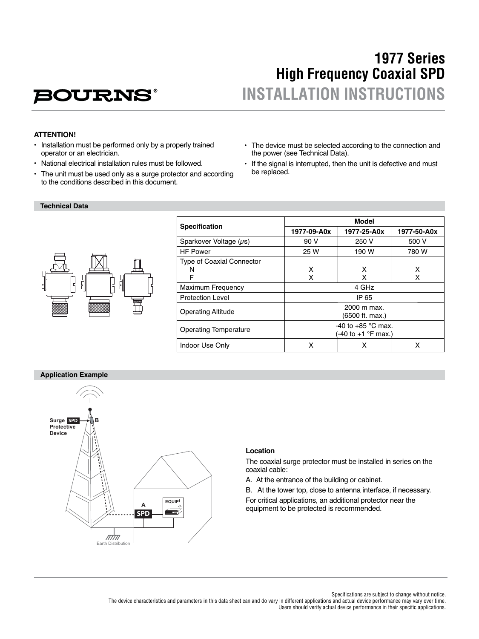# **BOURNS**

## **1977 Series High Frequency Coaxial SPD INSTALLATION INSTRUCTIONS**

## **ATTENTION!**

- Installation must be performed only by a properly trained operator or an electrician.
- National electrical installation rules must be followed.
- The unit must be used only as a surge protector and according to the conditions described in this document.
- The device must be selected according to the connection and the power (see Technical Data).
- If the signal is interrupted, then the unit is defective and must be replaced.

#### **Technical Data**



| <b>Specification</b>             | Model                                       |             |             |
|----------------------------------|---------------------------------------------|-------------|-------------|
|                                  | 1977-09-A0x                                 | 1977-25-A0x | 1977-50-A0x |
| Sparkover Voltage $(\mu s)$      | 90 V                                        | 250 V       | 500 V       |
| <b>HF Power</b>                  | 25 W                                        | 190 W       | 780 W       |
| <b>Type of Coaxial Connector</b> |                                             |             |             |
| N                                | x                                           | x           | x           |
| F                                | x                                           | x           | x           |
| <b>Maximum Frequency</b>         | 4 GHz                                       |             |             |
| <b>Protection Level</b>          | IP 65                                       |             |             |
| <b>Operating Altitude</b>        | 2000 m max.<br>(6500 ft. max.)              |             |             |
| Operating Temperature            | -40 to $+85$ °C max.<br>(-40 to +1 °F max.) |             |             |
| Indoor Use Only                  | x                                           | х           | x           |

#### **Application Example**



#### **Location**

The coaxial surge protector must be installed in series on the coaxial cable:

A. At the entrance of the building or cabinet.

B. At the tower top, close to antenna interface, if necessary. For critical applications, an additional protector near the equipment to be protected is recommended.

Specifications are subject to change without notice. The device characteristics and parameters in this data sheet can and do vary in different applications and actual device performance may vary over time. Users should verify actual device performance in their specific applications.